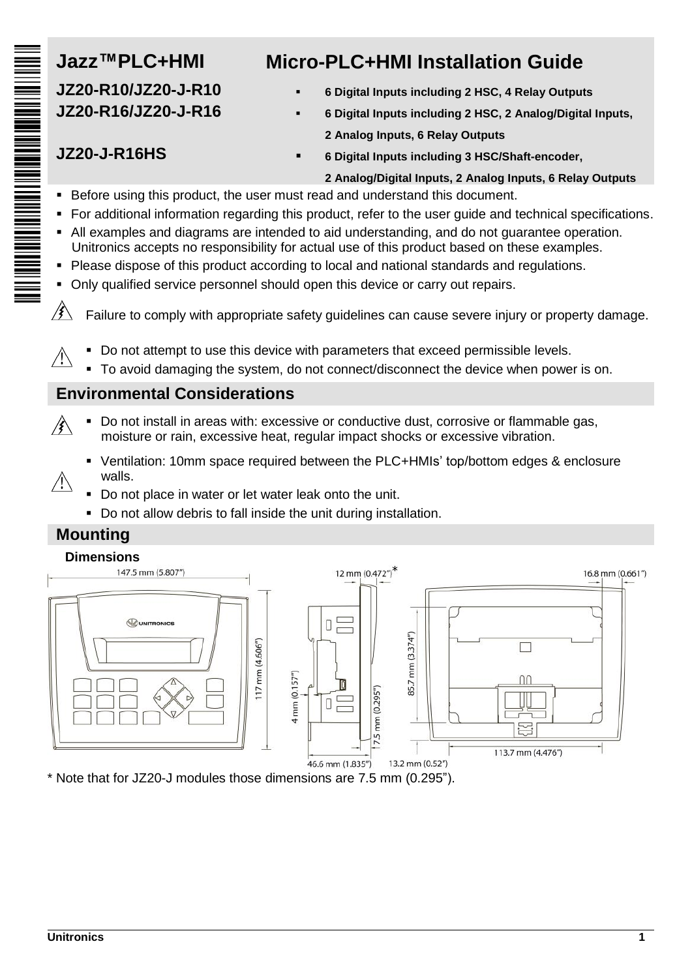# **JZ20-R10/JZ20-J-R10 JZ20-R16/JZ20-J-R16** THE BILLING CONTINUES INTO A STRIKE OF THE SAME OF THE SAME OF THE SAME OF THE SAME OF THE SAME OF THE SAME OF

# **Jazz™PLC+HMI Micro-PLC+HMI Installation Guide**

- **6 Digital Inputs including 2 HSC, 4 Relay Outputs**
- **6 Digital Inputs including 2 HSC, 2 Analog/Digital Inputs, 2 Analog Inputs, 6 Relay Outputs**

## **JZ20-J-R16HS**

**6 Digital Inputs including 3 HSC/Shaft-encoder,**

#### **2 Analog/Digital Inputs, 2 Analog Inputs, 6 Relay Outputs**

- Before using this product, the user must read and understand this document.
- For additional information regarding this product, refer to the user guide and technical specifications.
- All examples and diagrams are intended to aid understanding, and do not guarantee operation. Unitronics accepts no responsibility for actual use of this product based on these examples.
- Please dispose of this product according to local and national standards and regulations.
- Only qualified service personnel should open this device or carry out repairs.

 $\mathscr{B}$ Failure to comply with appropriate safety guidelines can cause severe injury or property damage.

- Do not attempt to use this device with parameters that exceed permissible levels.  $\mathcal{N}$ 
	- To avoid damaging the system, do not connect/disconnect the device when power is on.

### **Environmental Considerations**

- Do not install in areas with: excessive or conductive dust, corrosive or flammable gas, ∕€∖ moisture or rain, excessive heat, regular impact shocks or excessive vibration.
	- Ventilation: 10mm space required between the PLC+HMIs' top/bottom edges & enclosure walls.
	- Do not place in water or let water leak onto the unit.
	- Do not allow debris to fall inside the unit during installation.

### **Mounting**

 $\sqrt{2}$ 



\* Note that for JZ20-J modules those dimensions are 7.5 mm (0.295").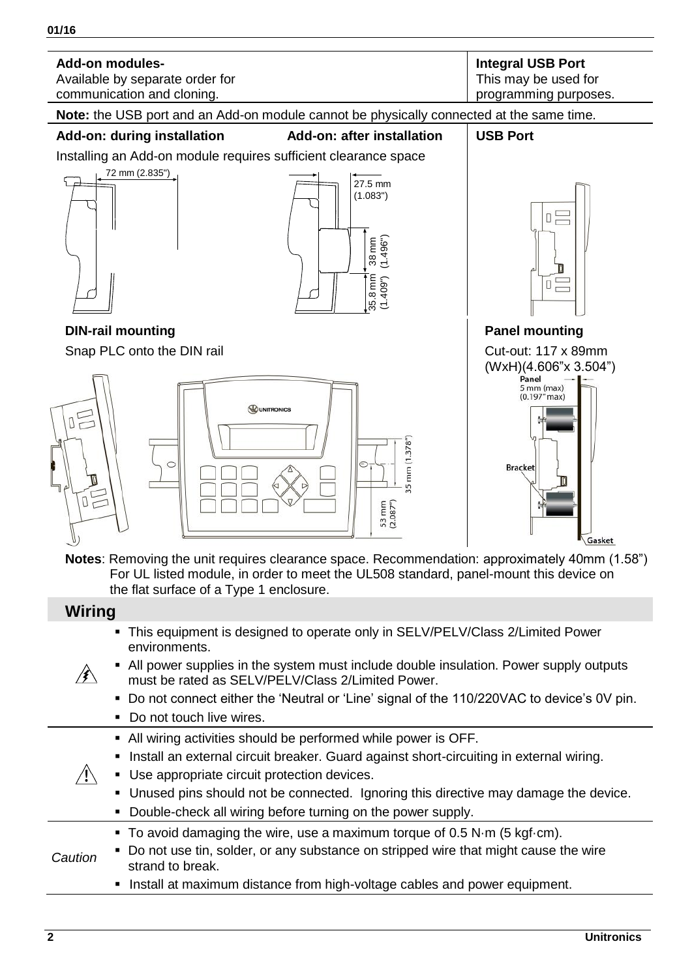- All power supplies in the system must include double insulation. Power supply outputs ∦∖
	- must be rated as SELV/PELV/Class 2/Limited Power. Do not connect either the 'Neutral or 'Line' signal of the 110/220VAC to device's 0V pin.
	- Do not touch live wires.
	- All wiring activities should be performed while power is OFF.
	- Install an external circuit breaker. Guard against short-circuiting in external wiring.
- $\bigwedge$  Use appropriate circuit protection devices.
	- Unused pins should not be connected. Ignoring this directive may damage the device.
	- Double-check all wiring before turning on the power supply.
	- To avoid damaging the wire, use a maximum torque of 0.5 N·m (5 kgf·cm).
- *Caution* Do not use tin, solder, or any substance on stripped wire that might cause the wire strand to break.
	- Install at maximum distance from high-voltage cables and power equipment.

**01/16**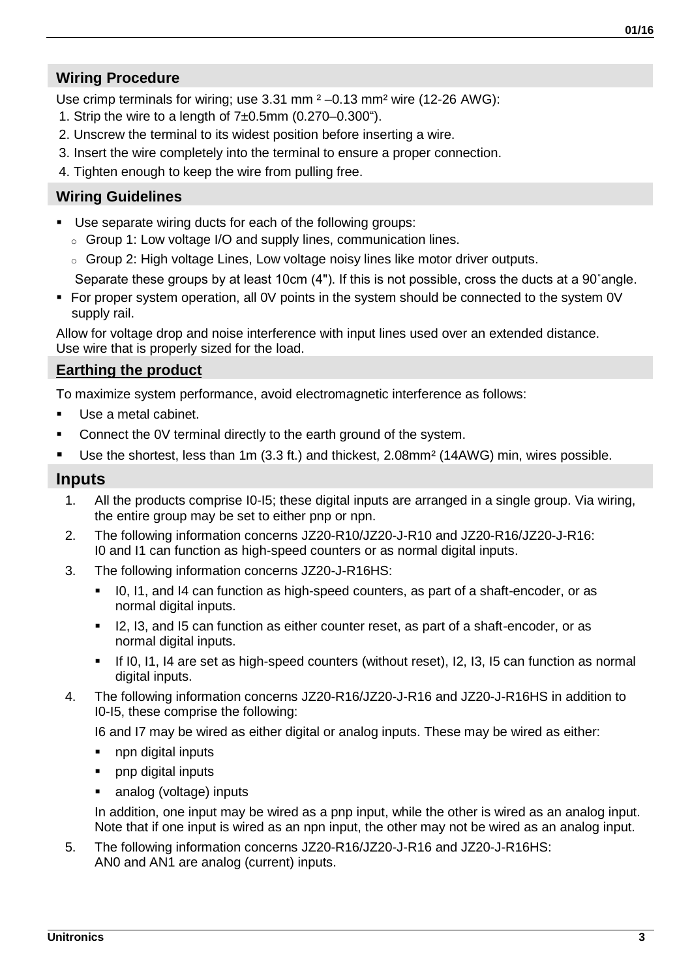#### **Wiring Procedure**

Use crimp terminals for wiring; use 3.31 mm  $2 - 0.13$  mm<sup>2</sup> wire (12-26 AWG):

- 1. Strip the wire to a length of  $7±0.5$ mm  $(0.270-0.300)$ .
- 2. Unscrew the terminal to its widest position before inserting a wire.
- 3. Insert the wire completely into the terminal to ensure a proper connection.
- 4. Tighten enough to keep the wire from pulling free.

#### **Wiring Guidelines**

- Use separate wiring ducts for each of the following groups:
	- o Group 1: Low voltage I/O and supply lines, communication lines.
	- o Group 2: High voltage Lines, Low voltage noisy lines like motor driver outputs.

Separate these groups by at least 10cm (4"). If this is not possible, cross the ducts at a 90˚angle.

 For proper system operation, all 0V points in the system should be connected to the system 0V supply rail.

Allow for voltage drop and noise interference with input lines used over an extended distance. Use wire that is properly sized for the load.

#### **Earthing the product**

To maximize system performance, avoid electromagnetic interference as follows:

- Use a metal cabinet.
- Connect the 0V terminal directly to the earth ground of the system.
- Use the shortest, less than 1m (3.3 ft.) and thickest, 2.08mm<sup>2</sup> (14AWG) min, wires possible.

#### **Inputs**

- 1. All the products comprise I0-I5; these digital inputs are arranged in a single group. Via wiring, the entire group may be set to either pnp or npn.
- 2. The following information concerns JZ20-R10/JZ20-J-R10 and JZ20-R16/JZ20-J-R16: I0 and I1 can function as high-speed counters or as normal digital inputs.
- 3. The following information concerns JZ20-J-R16HS:
	- In I0, I1, and I4 can function as high-speed counters, as part of a shaft-encoder, or as normal digital inputs.
	- I2, I3, and I5 can function as either counter reset, as part of a shaft-encoder, or as normal digital inputs.
	- If I0, I1, I4 are set as high-speed counters (without reset), I2, I3, I5 can function as normal digital inputs.
- 4. The following information concerns JZ20-R16/JZ20-J-R16 and JZ20-J-R16HS in addition to I0-I5, these comprise the following:

I6 and I7 may be wired as either digital or analog inputs. These may be wired as either:

- npn digital inputs
- pnp digital inputs
- analog (voltage) inputs

In addition, one input may be wired as a pnp input, while the other is wired as an analog input. Note that if one input is wired as an npn input, the other may not be wired as an analog input.

5. The following information concerns JZ20-R16/JZ20-J-R16 and JZ20-J-R16HS: AN0 and AN1 are analog (current) inputs.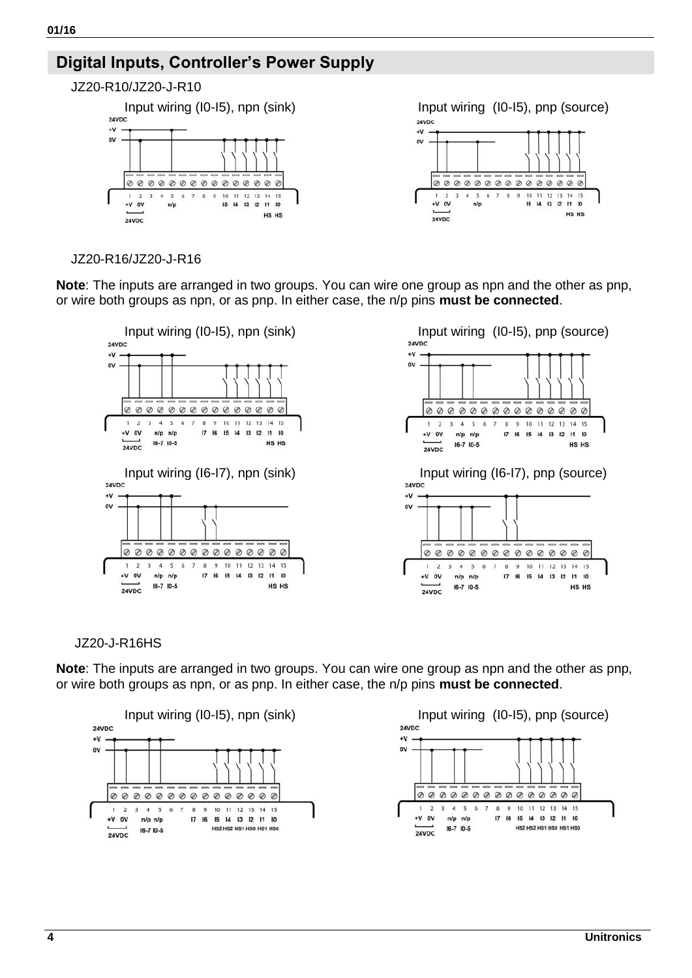# **Digital Inputs, Controller's Power Supply**



 $\ddot{v}$  $\alpha$ 00000000000000  $\overline{a}$ 3 4 5 6 7 8 9 10 11 12 13 14 15<br>
n/p<br>
15 14 13 12 11 10  $\sim$ HS HS

 $24VDC$ 

#### JZ20-R16/JZ20-J-R16

**Note**: The inputs are arranged in two groups. You can wire one group as npn and the other as pnp, or wire both groups as npn, or as pnp. In either case, the n/p pins **must be connected**.



JZ20-J-R16HS

**Note**: The inputs are arranged in two groups. You can wire one group as npn and the other as pnp, or wire both groups as npn, or as pnp. In either case, the n/p pins **must be connected**.



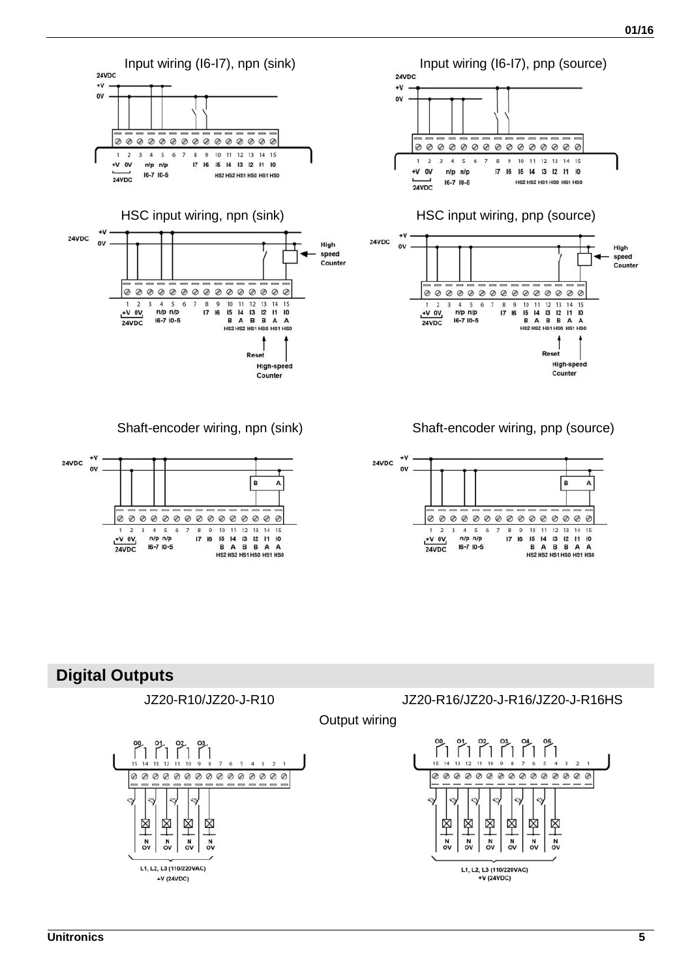

**Digital Outputs**



L1. L2. L3 (110/220VAC)

 $+V(24VDC)$ 

JZ20-R10/JZ20-J-R10 JZ20-R16/JZ20-J-R16/JZ20-J-R16HS